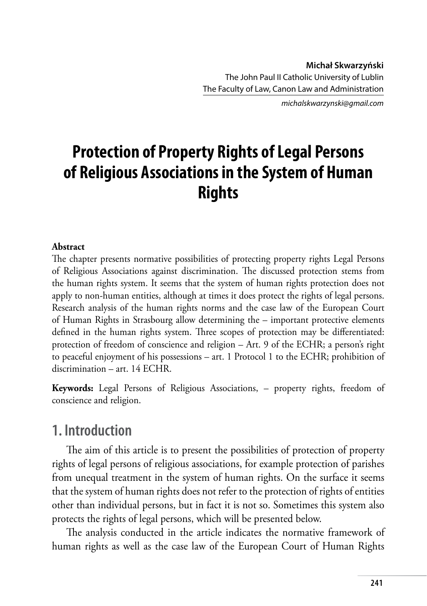*michalskwarzynski@gmail.com*

# **Protection of Property Rights of Legal Persons of Religious Associations in the System of Human Rights**

#### **Abstract**

The chapter presents normative possibilities of protecting property rights Legal Persons of Religious Associations against discrimination. The discussed protection stems from the human rights system. It seems that the system of human rights protection does not apply to non-human entities, although at times it does protect the rights of legal persons. Research analysis of the human rights norms and the case law of the European Court of Human Rights in Strasbourg allow determining the – important protective elements defined in the human rights system. Three scopes of protection may be differentiated: protection of freedom of conscience and religion – Art. 9 of the ECHR; a person's right to peaceful enjoyment of his possessions – art. 1 Protocol 1 to the ECHR; prohibition of discrimination – art. 14 ECHR.

**Keywords:** Legal Persons of Religious Associations, – property rights, freedom of conscience and religion.

#### **1. Introduction**

The aim of this article is to present the possibilities of protection of property rights of legal persons of religious associations, for example protection of parishes from unequal treatment in the system of human rights. On the surface it seems that the system of human rights does not refer to the protection of rights of entities other than individual persons, but in fact it is not so. Sometimes this system also protects the rights of legal persons, which will be presented below.

The analysis conducted in the article indicates the normative framework of human rights as well as the case law of the European Court of Human Rights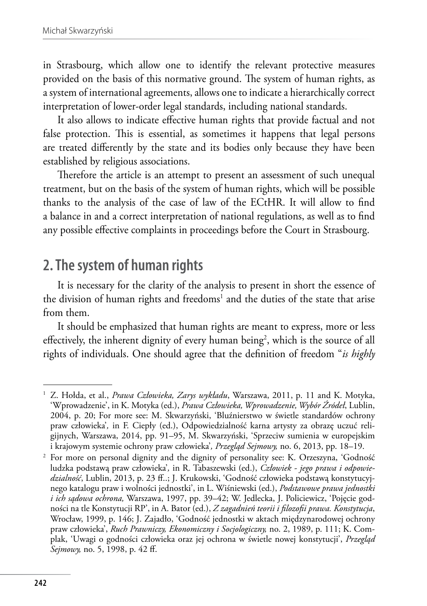in Strasbourg, which allow one to identify the relevant protective measures provided on the basis of this normative ground. The system of human rights, as a system of international agreements, allows one to indicate a hierarchically correct interpretation of lower-order legal standards, including national standards.

It also allows to indicate effective human rights that provide factual and not false protection. This is essential, as sometimes it happens that legal persons are treated differently by the state and its bodies only because they have been established by religious associations.

Therefore the article is an attempt to present an assessment of such unequal treatment, but on the basis of the system of human rights, which will be possible thanks to the analysis of the case of law of the ECtHR. It will allow to find a balance in and a correct interpretation of national regulations, as well as to find any possible effective complaints in proceedings before the Court in Strasbourg.

### **2. The system of human rights**

It is necessary for the clarity of the analysis to present in short the essence of the division of human rights and freedoms<sup>1</sup> and the duties of the state that arise from them.

It should be emphasized that human rights are meant to express, more or less effectively, the inherent dignity of every human being<sup>2</sup>, which is the source of all rights of individuals. One should agree that the definition of freedom "*is highly* 

<sup>1</sup> Z. Hołda, et al., *Prawa Człowieka, Zarys wykładu*, Warszawa, 2011, p. 11 and K. Motyka, 'Wprowadzenie', in K. Motyka (ed.), *Prawa Człowieka, Wprowadzenie, Wybór Źródeł*, Lublin, 2004, p. 20; For more see: M. Skwarzyński, 'Bluźnierstwo w świetle standardów ochrony praw człowieka'*,* in F. Ciepły (ed.), Odpowiedzialność karna artysty za obrazę uczuć religijnych, Warszawa, 2014, pp. 91–95, M. Skwarzyński, 'Sprzeciw sumienia w europejskim i krajowym systemie ochrony praw człowieka'*, Przegląd Sejmowy,* no. 6, 2013, pp. 18–19.

<sup>2</sup> For more on personal dignity and the dignity of personality see: K. Orzeszyna, 'Godność ludzka podstawą praw człowieka'*,* in R. Tabaszewski (ed.), *Człowiek - jego prawa i odpowiedzialność*, Lublin, 2013, p. 23 ff..; J. Krukowski, 'Godność człowieka podstawą konstytucyjnego katalogu praw i wolności jednostki', in L. Wiśniewski (ed.), *Podstawowe prawa jednostki i ich sądowa ochrona,* Warszawa, 1997, pp. 39–42; W. Jedlecka, J. Policiewicz, 'Pojęcie godności na tle Konstytucji RP', in A. Bator (ed.), *Z zagadnień teorii i filozofii prawa. Konstytucja*, Wrocław, 1999, p. 146; J. Zajadło, 'Godność jednostki w aktach międzynarodowej ochrony praw człowieka', *Ruch Prawniczy, Ekonomiczny i Socjologiczny,* no. 2, 1989, p. 111; K. Complak, 'Uwagi o godności człowieka oraz jej ochrona w świetle nowej konstytucji', *Przegląd Sejmowy,* no. 5, 1998, p. 42 ff.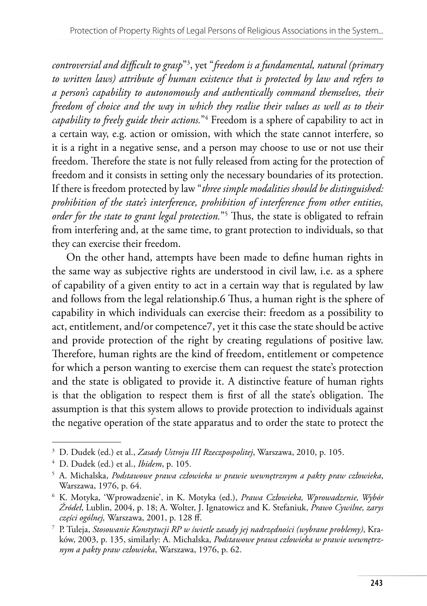*controversial and difficult to grasp*"3 , yet "*freedom is a fundamental, natural (primary to written laws) attribute of human existence that is protected by law and refers to a person's capability to autonomously and authentically command themselves, their freedom of choice and the way in which they realise their values as well as to their capability to freely guide their actions.*"4 Freedom is a sphere of capability to act in a certain way, e.g. action or omission, with which the state cannot interfere, so it is a right in a negative sense, and a person may choose to use or not use their freedom. Therefore the state is not fully released from acting for the protection of freedom and it consists in setting only the necessary boundaries of its protection. If there is freedom protected by law "*three simple modalities should be distinguished: prohibition of the state's interference, prohibition of interference from other entities, order for the state to grant legal protection.*"5 Thus, the state is obligated to refrain from interfering and, at the same time, to grant protection to individuals, so that they can exercise their freedom.

On the other hand, attempts have been made to define human rights in the same way as subjective rights are understood in civil law, i.e. as a sphere of capability of a given entity to act in a certain way that is regulated by law and follows from the legal relationship.6 Thus, a human right is the sphere of capability in which individuals can exercise their: freedom as a possibility to act, entitlement, and/or competence7, yet it this case the state should be active and provide protection of the right by creating regulations of positive law. Therefore, human rights are the kind of freedom, entitlement or competence for which a person wanting to exercise them can request the state's protection and the state is obligated to provide it. A distinctive feature of human rights is that the obligation to respect them is first of all the state's obligation. The assumption is that this system allows to provide protection to individuals against the negative operation of the state apparatus and to order the state to protect the

<sup>3</sup> D. Dudek (ed.) et al., *Zasady Ustroju III Rzeczpospolitej*, Warszawa, 2010, p. 105.

<sup>4</sup> D. Dudek (ed.) et al., *Ibidem*, p. 105.

<sup>5</sup> A. Michalska, *Podstawowe prawa człowieka w prawie wewnętrznym a pakty praw człowieka*, Warszawa, 1976, p. 64.

<sup>6</sup> K. Motyka, 'Wprowadzenie', in K. Motyka (ed.), *Prawa Człowieka, Wprowadzenie, Wybór Źródeł*, Lublin, 2004, p. 18; A. Wolter, J. Ignatowicz and K. Stefaniuk, *Prawo Cywilne, zarys części ogólnej,* Warszawa, 2001, p. 128 ff.

<sup>7</sup> P. Tuleja, *Stosowanie Konstytucji RP w świetle zasady jej nadrzędności (wybrane problemy)*, Kraków, 2003, p. 135, similarly: A. Michalska, *Podstawowe prawa człowieka w prawie wewnętrznym a pakty praw człowieka*, Warszawa, 1976, p. 62.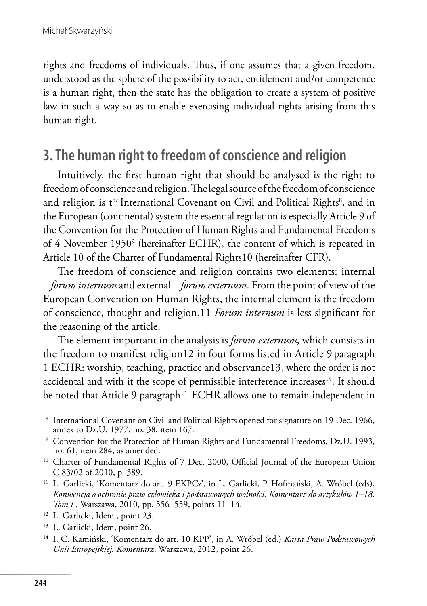rights and freedoms of individuals. Thus, if one assumes that a given freedom, understood as the sphere of the possibility to act, entitlement and/or competence is a human right, then the state has the obligation to create a system of positive law in such a way so as to enable exercising individual rights arising from this human right.

#### **3. The human right to freedom of conscience and religion**

Intuitively, the first human right that should be analysed is the right to freedom of conscience and religion. The legal source of the freedom of conscience and religion is t<sup>he</sup> International Covenant on Civil and Political Rights<sup>8</sup>, and in the European (continental) system the essential regulation is especially Article 9 of the Convention for the Protection of Human Rights and Fundamental Freedoms of 4 November 1950<sup>9</sup> (hereinafter ECHR), the content of which is repeated in Article 10 of the Charter of Fundamental Rights10 (hereinafter CFR).

The freedom of conscience and religion contains two elements: internal – *forum internum* and external – *forum externum*. From the point of view of the European Convention on Human Rights, the internal element is the freedom of conscience, thought and religion.11 *Forum internum* is less significant for the reasoning of the article.

The element important in the analysis is *forum externum*, which consists in the freedom to manifest religion12 in four forms listed in Article 9 paragraph 1 ECHR: worship, teaching, practice and observance13, where the order is not accidental and with it the scope of permissible interference increases<sup>14</sup>. It should be noted that Article 9 paragraph 1 ECHR allows one to remain independent in

<sup>&</sup>lt;sup>8</sup> International Covenant on Civil and Political Rights opened for signature on 19 Dec. 1966, annex to Dz.U. 1977, no. 38, item 167*.*

<sup>&</sup>lt;sup>9</sup> Convention for the Protection of Human Rights and Fundamental Freedoms, Dz.U. 1993, no. 61, item 284, as amended.

<sup>&</sup>lt;sup>10</sup> Charter of Fundamental Rights of 7 Dec. 2000, Official Journal of the European Union C 83/02 of 2010, p. 389.

<sup>&</sup>lt;sup>11</sup> L. Garlicki, 'Komentarz do art. 9 EKPCz', in L. Garlicki, P. Hofmański, A. Wróbel (eds), *Konwencja o ochronie praw człowieka i podstawowych wolności. Komentarz do artykułów 1–18.*

<sup>&</sup>lt;sup>12</sup> L. Garlicki, Idem., point 23.<br><sup>13</sup> L. Garlicki, Idem, point 26.<br><sup>14</sup> I. C. Kamiński, 'Komentarz do art. 10 KPP', in A. Wróbel (ed.) *Karta Praw Podstawowych Unii Europejskiej. Komentarz*, Warszawa, 2012, point 26.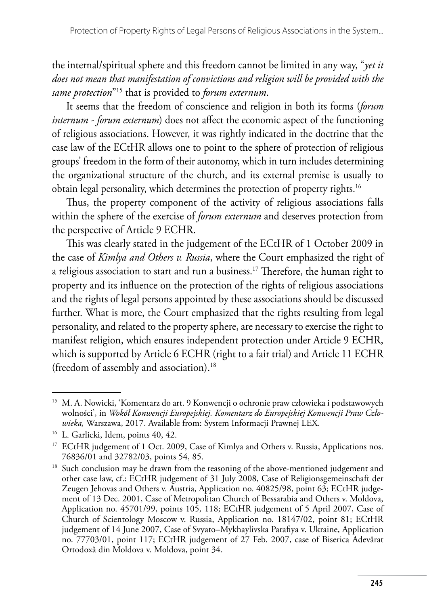the internal/spiritual sphere and this freedom cannot be limited in any way, "*yet it does not mean that manifestation of convictions and religion will be provided with the same protection*"15 that is provided to *forum externum*.

It seems that the freedom of conscience and religion in both its forms (*forum internum - forum externum*) does not affect the economic aspect of the functioning of religious associations. However, it was rightly indicated in the doctrine that the case law of the ECtHR allows one to point to the sphere of protection of religious groups' freedom in the form of their autonomy, which in turn includes determining the organizational structure of the church, and its external premise is usually to obtain legal personality, which determines the protection of property rights.16

Thus, the property component of the activity of religious associations falls within the sphere of the exercise of *forum externum* and deserves protection from the perspective of Article 9 ECHR.

This was clearly stated in the judgement of the ECtHR of 1 October 2009 in the case of *Kimlya and Others v. Russia*, where the Court emphasized the right of a religious association to start and run a business.17 Therefore, the human right to property and its influence on the protection of the rights of religious associations and the rights of legal persons appointed by these associations should be discussed further. What is more, the Court emphasized that the rights resulting from legal personality, and related to the property sphere, are necessary to exercise the right to manifest religion, which ensures independent protection under Article 9 ECHR, which is supported by Article 6 ECHR (right to a fair trial) and Article 11 ECHR (freedom of assembly and association).18

<sup>15</sup> M. A. Nowicki, 'Komentarz do art. 9 Konwencji o ochronie praw człowieka i podstawowych wolności'*,* in *Wokół Konwencji Europejskiej. Komentarz do Europejskiej Konwencji Praw Człowieka,* Warszawa, 2017. Available from: System Informacji Prawnej LEX.

<sup>&</sup>lt;sup>16</sup> L. Garlicki, Idem, points 40, 42.<br><sup>17</sup> ECtHR judgement of 1 Oct. 2009, Case of Kimlya and Others v. Russia, Applications nos. 76836/01 and 32782/03, points 54, 85.

<sup>&</sup>lt;sup>18</sup> Such conclusion may be drawn from the reasoning of the above-mentioned judgement and other case law, cf.: ECtHR judgement of 31 July 2008, Case of Religionsgemeinschaft der Zeugen Jehovas and Others v. Austria, Application no. 40825/98, point 63; ECtHR judgement of 13 Dec. 2001, Case of Metropolitan Church of Bessarabia and Others v. Moldova, Application no. 45701/99, points 105, 118; ECtHR judgement of 5 April 2007, Case of Church of Scientology Moscow v. Russia, Application no. 18147/02, point 81; ECtHR judgement of 14 June 2007, Case of Svyato–Mykhaylivska Parafiya v. Ukraine, Application no. 77703/01, point 117; ECtHR judgement of 27 Feb. 2007, case of Biserica Adevărat Ortodoxă din Moldova v. Moldova, point 34.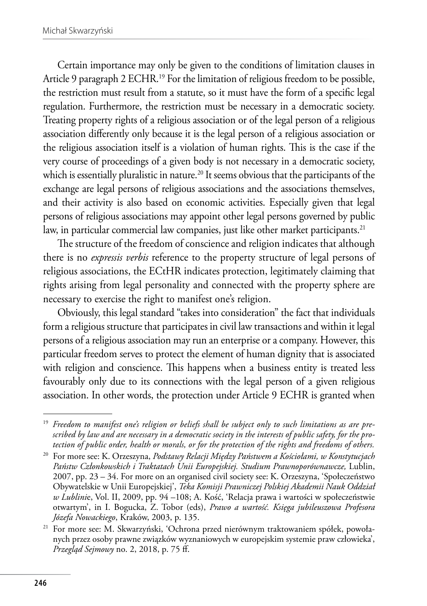Certain importance may only be given to the conditions of limitation clauses in Article 9 paragraph 2 ECHR.<sup>19</sup> For the limitation of religious freedom to be possible, the restriction must result from a statute, so it must have the form of a specific legal regulation. Furthermore, the restriction must be necessary in a democratic society. Treating property rights of a religious association or of the legal person of a religious association differently only because it is the legal person of a religious association or the religious association itself is a violation of human rights. This is the case if the very course of proceedings of a given body is not necessary in a democratic society, which is essentially pluralistic in nature.<sup>20</sup> It seems obvious that the participants of the exchange are legal persons of religious associations and the associations themselves, and their activity is also based on economic activities. Especially given that legal persons of religious associations may appoint other legal persons governed by public law, in particular commercial law companies, just like other market participants.<sup>21</sup>

The structure of the freedom of conscience and religion indicates that although there is no *expressis verbis* reference to the property structure of legal persons of religious associations, the ECtHR indicates protection, legitimately claiming that rights arising from legal personality and connected with the property sphere are necessary to exercise the right to manifest one's religion.

Obviously, this legal standard "takes into consideration" the fact that individuals form a religious structure that participates in civil law transactions and within it legal persons of a religious association may run an enterprise or a company. However, this particular freedom serves to protect the element of human dignity that is associated with religion and conscience. This happens when a business entity is treated less favourably only due to its connections with the legal person of a given religious association. In other words, the protection under Article 9 ECHR is granted when

<sup>19</sup> *Freedom to manifest one's religion or beliefs shall be subject only to such limitations as are prescribed by law and are necessary in a democratic society in the interests of public safety, for the protection of public order, health or morals, or for the protection of the rights and freedoms of others.* 

<sup>20</sup> For more see: K. Orzeszyna, *Podstawy Relacji Między Państwem a Kościołami, w Konstytucjach Państw Członkowskich i Traktatach Unii Europejskiej. Studium Prawnoporównawcze,* Lublin, 2007, pp. 23 – 34. For more on an organised civil society see: K. Orzeszyna, 'Społeczeństwo Obywatelskie w Unii Europejskiej', *Teka Komisji Prawniczej Polskiej Akademii Nauk Oddział w Lublini*e, Vol. II, 2009, pp. 94 –108; A. Kość, 'Relacja prawa i wartości w społeczeństwie otwartym', in I. Bogucka, Z. Tobor (eds), *Prawo a wartość. Księga jubileuszowa Profesora Józefa Nowackiego*, Kraków, 2003, p. 135.

<sup>21</sup> For more see: M. Skwarzyński, 'Ochrona przed nierównym traktowaniem spółek, powołanych przez osoby prawne związków wyznaniowych w europejskim systemie praw człowieka', *Przegląd Sejmowy* no. 2, 2018, p. 75 ff.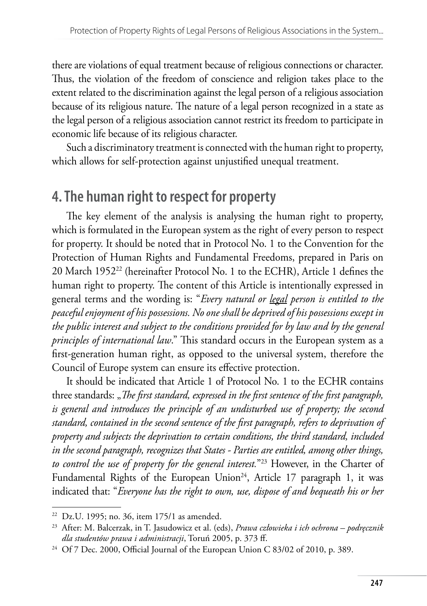there are violations of equal treatment because of religious connections or character. Thus, the violation of the freedom of conscience and religion takes place to the extent related to the discrimination against the legal person of a religious association because of its religious nature. The nature of a legal person recognized in a state as the legal person of a religious association cannot restrict its freedom to participate in economic life because of its religious character.

Such a discriminatory treatment is connected with the human right to property, which allows for self-protection against unjustified unequal treatment.

# **4. The human right to respect for property**

The key element of the analysis is analysing the human right to property, which is formulated in the European system as the right of every person to respect for property. It should be noted that in Protocol No. 1 to the Convention for the Protection of Human Rights and Fundamental Freedoms, prepared in Paris on 20 March 195222 (hereinafter Protocol No. 1 to the ECHR), Article 1 defines the human right to property. The content of this Article is intentionally expressed in general terms and the wording is: "*Every natural or legal person is entitled to the peaceful enjoyment of his possessions. No one shall be deprived of his possessions except in the public interest and subject to the conditions provided for by law and by the general principles of international law*." This standard occurs in the European system as a first-generation human right, as opposed to the universal system, therefore the Council of Europe system can ensure its effective protection.

It should be indicated that Article 1 of Protocol No. 1 to the ECHR contains three standards: "*The first standard, expressed in the first sentence of the first paragraph*, *is general and introduces the principle of an undisturbed use of property; the second standard, contained in the second sentence of the first paragraph, refers to deprivation of property and subjects the deprivation to certain conditions, the third standard, included in the second paragraph, recognizes that States - Parties are entitled, among other things, to control the use of property for the general interest.*"23 However, in the Charter of Fundamental Rights of the European Union<sup>24</sup>, Article 17 paragraph 1, it was indicated that: "*Everyone has the right to own, use, dispose of and bequeath his or her* 

 $22$  Dz.U. 1995; no. 36, item 175/1 as amended.

<sup>23</sup> After: M. Balcerzak, in T. Jasudowicz et al. (eds), *Prawa człowieka i ich ochrona – podręcznik dla studentów prawa i administracji*, Toruń 2005, p. 373 ff.

<sup>&</sup>lt;sup>24</sup> Of 7 Dec. 2000, Official Journal of the European Union C 83/02 of 2010, p. 389.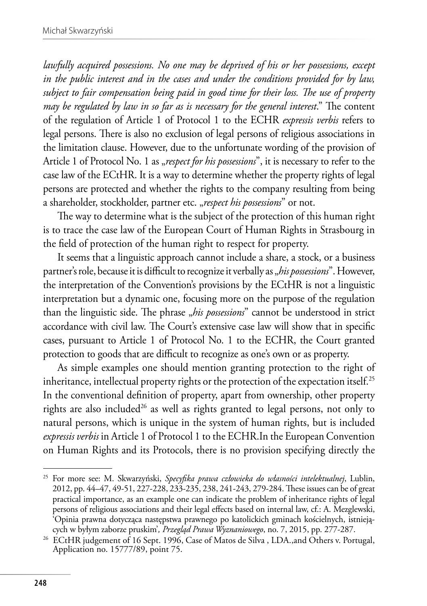*lawfully acquired possessions. No one may be deprived of his or her possessions, except in the public interest and in the cases and under the conditions provided for by law, subject to fair compensation being paid in good time for their loss. The use of property may be regulated by law in so far as is necessary for the general interest*." The content of the regulation of Article 1 of Protocol 1 to the ECHR *expressis verbis* refers to legal persons. There is also no exclusion of legal persons of religious associations in the limitation clause. However, due to the unfortunate wording of the provision of Article 1 of Protocol No. 1 as "*respect for his possessions*", it is necessary to refer to the case law of the ECtHR. It is a way to determine whether the property rights of legal persons are protected and whether the rights to the company resulting from being a shareholder, stockholder, partner etc. "*respect his possessions*" or not.

The way to determine what is the subject of the protection of this human right is to trace the case law of the European Court of Human Rights in Strasbourg in the field of protection of the human right to respect for property.

It seems that a linguistic approach cannot include a share, a stock, or a business partner's role, because it is difficult to recognize it verbally as "his possessions". However, the interpretation of the Convention's provisions by the ECtHR is not a linguistic interpretation but a dynamic one, focusing more on the purpose of the regulation than the linguistic side. The phrase "*his possessions*" cannot be understood in strict accordance with civil law. The Court's extensive case law will show that in specific cases, pursuant to Article 1 of Protocol No. 1 to the ECHR, the Court granted protection to goods that are difficult to recognize as one's own or as property.

As simple examples one should mention granting protection to the right of inheritance, intellectual property rights or the protection of the expectation itself.<sup>25</sup> In the conventional definition of property, apart from ownership, other property rights are also included<sup>26</sup> as well as rights granted to legal persons, not only to natural persons, which is unique in the system of human rights, but is included *expressis verbis* in Article 1 of Protocol 1 to the ECHR.In the European Convention on Human Rights and its Protocols, there is no provision specifying directly the

<sup>25</sup> For more see: M. Skwarzyński, *Specyfika prawa człowieka do własności intelektualnej*, Lublin, 2012, pp. 44–47, 49-51, 227-228, 233-235, 238, 241-243, 279-284. These issues can be of great practical importance, as an example one can indicate the problem of inheritance rights of legal persons of religious associations and their legal effects based on internal law, cf.: A. Mezglewski, 'Opinia prawna dotycząca następstwa prawnego po katolickich gminach kościelnych, istnieją-<br>cych w byłym zaborze pruskim', Przegląd Prawa Wyznaniowego, no. 7, 2015, pp. 277-287.

<sup>&</sup>lt;sup>26</sup> ECtHR judgement of 16 Sept. 1996, Case of Matos de Silva , LDA.,and Others v. Portugal, Application no. 15777/89, point 75.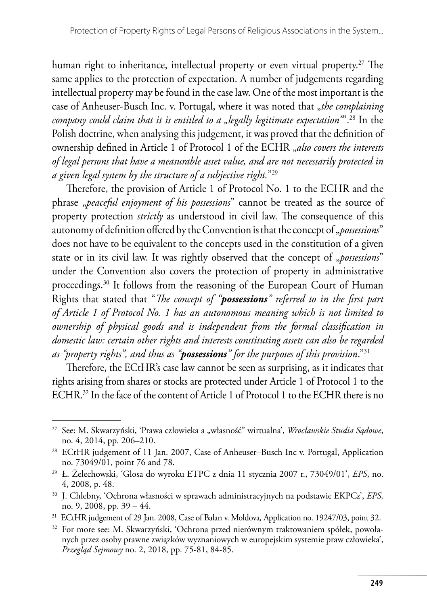human right to inheritance, intellectual property or even virtual property.<sup>27</sup> The same applies to the protection of expectation. A number of judgements regarding intellectual property may be found in the case law. One of the most important is the case of Anheuser-Busch Inc. v. Portugal, where it was noted that "*the complaining company could claim that it is entitled to a "legally legitimate expectation*"<sup>28</sup> In the Polish doctrine, when analysing this judgement, it was proved that the definition of ownership defined in Article 1 of Protocol 1 of the ECHR *"also covers the interests of legal persons that have a measurable asset value, and are not necessarily protected in a given legal system by the structure of a subjective right.*"29

Therefore, the provision of Article 1 of Protocol No. 1 to the ECHR and the phrase "*peaceful enjoyment of his possessions*" cannot be treated as the source of property protection *strictly* as understood in civil law. The consequence of this autonomy of definition offered by the Convention is that the concept of "*possessions*" does not have to be equivalent to the concepts used in the constitution of a given state or in its civil law. It was rightly observed that the concept of "*possessions*" under the Convention also covers the protection of property in administrative proceedings.30 It follows from the reasoning of the European Court of Human Rights that stated that "*The concept of "possessions" referred to in the first part of Article 1 of Protocol No. 1 has an autonomous meaning which is not limited to ownership of physical goods and is independent from the formal classification in domestic law: certain other rights and interests constituting assets can also be regarded as "property rights", and thus as "possessions" for the purposes of this provision*."31

Therefore, the ECtHR's case law cannot be seen as surprising, as it indicates that rights arising from shares or stocks are protected under Article 1 of Protocol 1 to the ECHR.32 In the face of the content of Article 1 of Protocol 1 to the ECHR there is no

<sup>&</sup>lt;sup>27</sup> See: M. Skwarzyński, 'Prawa człowieka a "własność" wirtualna', *Wrocławskie Studia Sądowe*, no. 4, 2014, pp. 206–210.

<sup>28</sup> ECtHR judgement of 11 Jan. 2007, Case of Anheuser–Busch Inc v. Portugal, Application no. 73049/01, point 76 and 78. 29 Ł. Żelechowski, 'Glosa do wyroku ETPC z dnia 11 stycznia 2007 r., 73049/01', *EPS*, no.

<sup>4, 2008,</sup> p. 48.

<sup>30</sup> J. Chlebny, 'Ochrona własności w sprawach administracyjnych na podstawie EKPCz', *EPS,* no. 9, 2008, pp. 39 – 44.

<sup>31</sup> ECtHR judgement of 29 Jan. 2008, Case of Balan v. Moldova*,* Application no. 19247/03, point 32.

<sup>32</sup> For more see: M. Skwarzyński, 'Ochrona przed nierównym traktowaniem spółek, powołanych przez osoby prawne związków wyznaniowych w europejskim systemie praw człowieka', *Przegląd Sejmowy* no. 2, 2018, pp. 75-81, 84-85.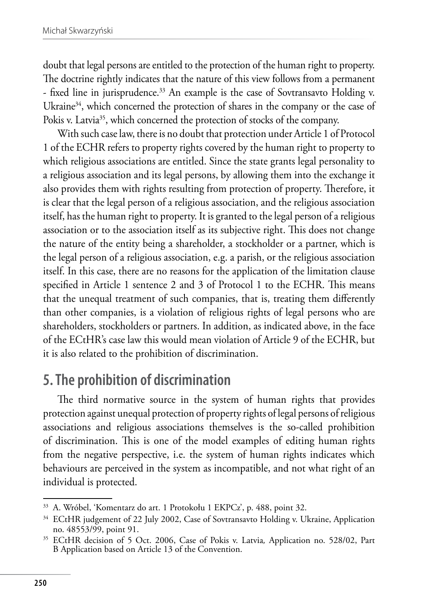doubt that legal persons are entitled to the protection of the human right to property. The doctrine rightly indicates that the nature of this view follows from a permanent - fixed line in jurisprudence.<sup>33</sup> An example is the case of Sovtransavto Holding v. Ukraine<sup>34</sup>, which concerned the protection of shares in the company or the case of Pokis v. Latvia<sup>35</sup>, which concerned the protection of stocks of the company.

With such case law, there is no doubt that protection under Article 1 of Protocol 1 of the ECHR refers to property rights covered by the human right to property to which religious associations are entitled. Since the state grants legal personality to a religious association and its legal persons, by allowing them into the exchange it also provides them with rights resulting from protection of property. Therefore, it is clear that the legal person of a religious association, and the religious association itself, has the human right to property. It is granted to the legal person of a religious association or to the association itself as its subjective right. This does not change the nature of the entity being a shareholder, a stockholder or a partner, which is the legal person of a religious association, e.g. a parish, or the religious association itself. In this case, there are no reasons for the application of the limitation clause specified in Article 1 sentence 2 and 3 of Protocol 1 to the ECHR. This means that the unequal treatment of such companies, that is, treating them differently than other companies, is a violation of religious rights of legal persons who are shareholders, stockholders or partners. In addition, as indicated above, in the face of the ECtHR's case law this would mean violation of Article 9 of the ECHR, but it is also related to the prohibition of discrimination.

### **5. The prohibition of discrimination**

The third normative source in the system of human rights that provides protection against unequal protection of property rights of legal persons of religious associations and religious associations themselves is the so-called prohibition of discrimination. This is one of the model examples of editing human rights from the negative perspective, i.e. the system of human rights indicates which behaviours are perceived in the system as incompatible, and not what right of an individual is protected.

<sup>&</sup>lt;sup>33</sup> A. Wróbel, 'Komentarz do art. 1 Protokołu 1 EKPCz', p. 488, point 32.<br><sup>34</sup> ECtHR judgement of 22 July 2002, Case of Sovtransavto Holding v. Ukraine, Application no. 48553/99, point 91.

<sup>35</sup> ECtHR decision of 5 Oct. 2006, Case of Pokis v. Latvia*,* Application no. 528/02, Part B Application based on Article 13 of the Convention.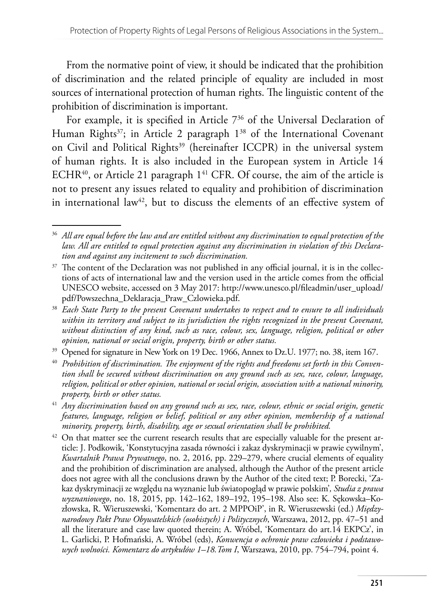From the normative point of view, it should be indicated that the prohibition of discrimination and the related principle of equality are included in most sources of international protection of human rights. The linguistic content of the prohibition of discrimination is important.

For example, it is specified in Article 7<sup>36</sup> of the Universal Declaration of Human Rights<sup>37</sup>; in Article 2 paragraph 1<sup>38</sup> of the International Covenant on Civil and Political Rights<sup>39</sup> (hereinafter ICCPR) in the universal system of human rights. It is also included in the European system in Article 14 ECHR<sup>40</sup>, or Article 21 paragraph  $1<sup>41</sup>$  CFR. Of course, the aim of the article is not to present any issues related to equality and prohibition of discrimination in international law<sup>42</sup>, but to discuss the elements of an effective system of

<sup>36</sup> *All are equal before the law and are entitled without any discrimination to equal protection of the law. All are entitled to equal protection against any discrimination in violation of this Declaration and against any incitement to such discrimination.*

 $37$  The content of the Declaration was not published in any official journal, it is in the collections of acts of international law and the version used in the article comes from the official UNESCO website, accessed on 3 May 2017: http://www.unesco.pl/fileadmin/user\_upload/ pdf/Powszechna\_Deklaracja\_Praw\_Czlowieka.pdf.

<sup>38</sup> *Each State Party to the present Covenant undertakes to respect and to ensure to all individuals within its territory and subject to its jurisdiction the rights recognized in the present Covenant, without distinction of any kind, such as race, colour, sex, language, religion, political or other opinion, national or social origin, property, birth or other status.*

<sup>&</sup>lt;sup>39</sup> Opened for signature in New York on 19 Dec. 1966, Annex to Dz.U. 1977; no. 38, item 167.

<sup>40</sup> *Prohibition of discrimination. The enjoyment of the rights and freedoms set forth in this Convention shall be secured without discrimination on any ground such as sex, race, colour, language, religion, political or other opinion, national or social origin, association with a national minority, property, birth or other status.*

<sup>41</sup> *Any discrimination based on any ground such as sex, race, colour, ethnic or social origin, genetic features, language, religion or belief, political or any other opinion, membership of a national minority, property, birth, disability, age or sexual orientation shall be prohibited.*

 $42$  On that matter see the current research results that are especially valuable for the present article: J. Podkowik, 'Konstytucyjna zasada równości i zakaz dyskryminacji w prawie cywilnym', *Kwartalnik Prawa Prywatnego*, no. 2, 2016, pp. 229–279, where crucial elements of equality and the prohibition of discrimination are analysed, although the Author of the present article does not agree with all the conclusions drawn by the Author of the cited text; P. Borecki, 'Zakaz dyskryminacji ze względu na wyznanie lub światopogląd w prawie polskim'*, Studia z prawa wyznaniowego*, no. 18, 2015, pp. 142–162, 189–192, 195–198. Also see: K. Sękowska–Kozłowska, R. Wieruszewski, 'Komentarz do art. 2 MPPOiP', in R. Wieruszewski (ed.) *Międzynarodowy Pakt Praw Obywatelskich (osobistych) i Politycznych*, Warszawa, 2012, pp. 47–51 and all the literature and case law quoted therein; A. Wróbel, 'Komentarz do art.14 EKPCz', in L. Garlicki, P. Hofmański, A. Wróbel (eds), *Konwencja o ochronie praw człowieka i podstawowych wolności. Komentarz do artykułów 1–18.Tom I*, Warszawa, 2010, pp. 754–794, point 4.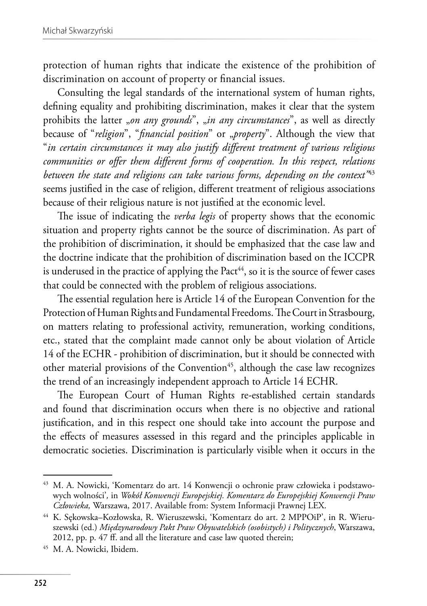protection of human rights that indicate the existence of the prohibition of discrimination on account of property or financial issues.

Consulting the legal standards of the international system of human rights, defining equality and prohibiting discrimination, makes it clear that the system prohibits the latter *"on any grounds*", *"in any circumstances*", as well as directly because of "*religion*", "*financial position*" or "*property*". Although the view that "*in certain circumstances it may also justify different treatment of various religious communities or offer them different forms of cooperation. In this respect, relations between the state and religions can take various forms, depending on the context"*<sup>43</sup> seems justified in the case of religion, different treatment of religious associations because of their religious nature is not justified at the economic level.

The issue of indicating the *verba legis* of property shows that the economic situation and property rights cannot be the source of discrimination. As part of the prohibition of discrimination, it should be emphasized that the case law and the doctrine indicate that the prohibition of discrimination based on the ICCPR is underused in the practice of applying the  $Pact<sup>44</sup>$ , so it is the source of fewer cases that could be connected with the problem of religious associations.

The essential regulation here is Article 14 of the European Convention for the Protection of Human Rights and Fundamental Freedoms. The Court in Strasbourg, on matters relating to professional activity, remuneration, working conditions, etc., stated that the complaint made cannot only be about violation of Article 14 of the ECHR - prohibition of discrimination, but it should be connected with other material provisions of the Convention<sup>45</sup>, although the case law recognizes the trend of an increasingly independent approach to Article 14 ECHR.

The European Court of Human Rights re-established certain standards and found that discrimination occurs when there is no objective and rational justification, and in this respect one should take into account the purpose and the effects of measures assessed in this regard and the principles applicable in democratic societies. Discrimination is particularly visible when it occurs in the

<sup>43</sup> M. A. Nowicki, 'Komentarz do art. 14 Konwencji o ochronie praw człowieka i podstawowych wolności'*,* in *Wokół Konwencji Europejskiej. Komentarz do Europejskiej Konwencji Praw Człowieka,* Warszawa, 2017. Available from: System Informacji Prawnej LEX.

<sup>44</sup> K. Sękowska–Kozłowska, R. Wieruszewski, 'Komentarz do art. 2 MPPOiP', in R. Wieruszewski (ed.) *Międzynarodowy Pakt Praw Obywatelskich (osobistych) i Politycznych*, Warszawa, 2012, pp. p. 47 ff. and all the literature and case law quoted therein;

<sup>45</sup> M. A. Nowicki, Ibidem.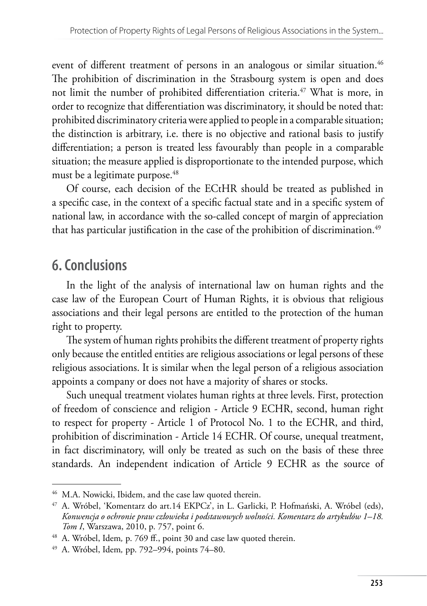event of different treatment of persons in an analogous or similar situation.<sup>46</sup> The prohibition of discrimination in the Strasbourg system is open and does not limit the number of prohibited differentiation criteria.<sup>47</sup> What is more, in order to recognize that differentiation was discriminatory, it should be noted that: prohibited discriminatory criteria were applied to people in a comparable situation; the distinction is arbitrary, i.e. there is no objective and rational basis to justify differentiation; a person is treated less favourably than people in a comparable situation; the measure applied is disproportionate to the intended purpose, which must be a legitimate purpose.<sup>48</sup>

Of course, each decision of the ECtHR should be treated as published in a specific case, in the context of a specific factual state and in a specific system of national law, in accordance with the so-called concept of margin of appreciation that has particular justification in the case of the prohibition of discrimination.<sup>49</sup>

# **6. Conclusions**

In the light of the analysis of international law on human rights and the case law of the European Court of Human Rights, it is obvious that religious associations and their legal persons are entitled to the protection of the human right to property.

The system of human rights prohibits the different treatment of property rights only because the entitled entities are religious associations or legal persons of these religious associations. It is similar when the legal person of a religious association appoints a company or does not have a majority of shares or stocks.

Such unequal treatment violates human rights at three levels. First, protection of freedom of conscience and religion - Article 9 ECHR, second, human right to respect for property - Article 1 of Protocol No. 1 to the ECHR, and third, prohibition of discrimination - Article 14 ECHR. Of course, unequal treatment, in fact discriminatory, will only be treated as such on the basis of these three standards. An independent indication of Article 9 ECHR as the source of

<sup>&</sup>lt;sup>46</sup> M.A. Nowicki, Ibidem, and the case law quoted therein.<br><sup>47</sup> A. Wróbel, 'Komentarz do art.14 EKPCz', in L. Garlicki, P. Hofmański, A. Wróbel (eds), *Konwencja o ochronie praw człowieka i podstawowych wolności. Komentarz do artykułów 1–18. Tom I*, Warszawa, 2010, p. 757, point 6.

<sup>48</sup> A. Wróbel, Idem*,* p. 769 ff., point 30 and case law quoted therein.

<sup>49</sup> A. Wróbel, Idem*,* pp. 792–994, points 74–80.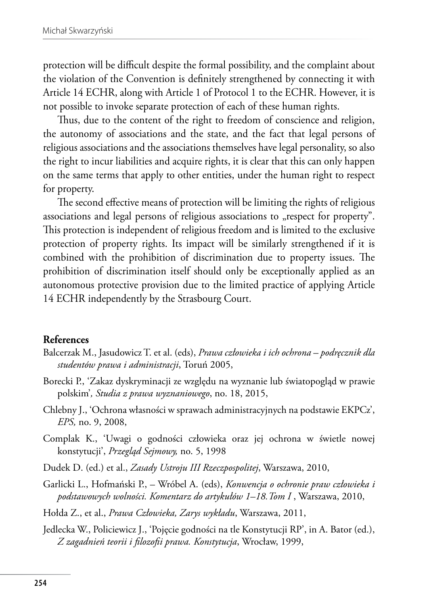protection will be difficult despite the formal possibility, and the complaint about the violation of the Convention is definitely strengthened by connecting it with Article 14 ECHR, along with Article 1 of Protocol 1 to the ECHR. However, it is not possible to invoke separate protection of each of these human rights.

Thus, due to the content of the right to freedom of conscience and religion, the autonomy of associations and the state, and the fact that legal persons of religious associations and the associations themselves have legal personality, so also the right to incur liabilities and acquire rights, it is clear that this can only happen on the same terms that apply to other entities, under the human right to respect for property.

The second effective means of protection will be limiting the rights of religious associations and legal persons of religious associations to "respect for property". This protection is independent of religious freedom and is limited to the exclusive protection of property rights. Its impact will be similarly strengthened if it is combined with the prohibition of discrimination due to property issues. The prohibition of discrimination itself should only be exceptionally applied as an autonomous protective provision due to the limited practice of applying Article 14 ECHR independently by the Strasbourg Court.

#### **References**

- Balcerzak M., Jasudowicz T. et al. (eds), *Prawa człowieka i ich ochrona podręcznik dla studentów prawa i administracji*, Toruń 2005,
- Borecki P., 'Zakaz dyskryminacji ze względu na wyznanie lub światopogląd w prawie polskim'*, Studia z prawa wyznaniowego*, no. 18, 2015,
- Chlebny J., 'Ochrona własności w sprawach administracyjnych na podstawie EKPCz', *EPS,* no. 9, 2008,
- Complak K., 'Uwagi o godności człowieka oraz jej ochrona w świetle nowej konstytucji', *Przegląd Sejmowy,* no. 5, 1998
- Dudek D. (ed.) et al., *Zasady Ustroju III Rzeczpospolitej*, Warszawa, 2010,
- Garlicki L., Hofmański P., Wróbel A. (eds), *Konwencja o ochronie praw człowieka i podstawowych wolności. Komentarz do artykułów 1–18.Tom I* , Warszawa, 2010,
- Hołda Z., et al., *Prawa Człowieka, Zarys wykładu*, Warszawa, 2011,
- Jedlecka W., Policiewicz J., 'Pojęcie godności na tle Konstytucji RP', in A. Bator (ed.), *Z zagadnień teorii i filozofii prawa. Konstytucja*, Wrocław, 1999,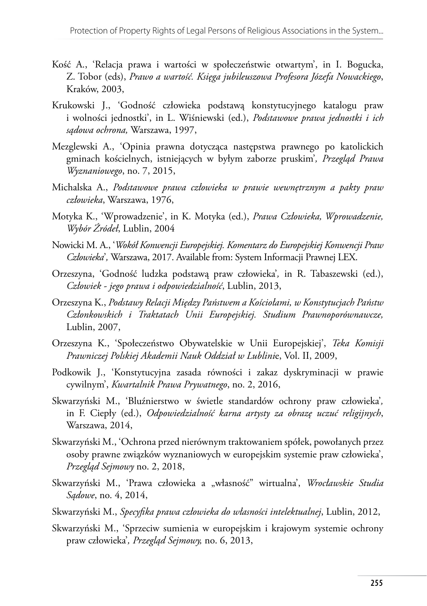- Kość A., 'Relacja prawa i wartości w społeczeństwie otwartym', in I. Bogucka, Z. Tobor (eds), *Prawo a wartość. Księga jubileuszowa Profesora Józefa Nowackiego*, Kraków, 2003,
- Krukowski J., 'Godność człowieka podstawą konstytucyjnego katalogu praw i wolności jednostki', in L. Wiśniewski (ed.), *Podstawowe prawa jednostki i ich sądowa ochrona,* Warszawa, 1997,
- Mezglewski A., 'Opinia prawna dotycząca następstwa prawnego po katolickich gminach kościelnych, istniejących w byłym zaborze pruskim'*, Przegląd Prawa Wyznaniowego*, no. 7, 2015,
- Michalska A., *Podstawowe prawa człowieka w prawie wewnętrznym a pakty praw człowieka*, Warszawa, 1976,
- Motyka K., 'Wprowadzenie', in K. Motyka (ed.), *Prawa Człowieka, Wprowadzenie, Wybór Źródeł*, Lublin, 2004
- Nowicki M. A., '*Wokół Konwencji Europejskiej. Komentarz do Europejskiej Konwencji Praw Człowieka*'*,* Warszawa, 2017. Available from: System Informacji Prawnej LEX.
- Orzeszyna, 'Godność ludzka podstawą praw człowieka'*,* in R. Tabaszewski (ed.), *Człowiek - jego prawa i odpowiedzialność*, Lublin, 2013,
- Orzeszyna K., *Podstawy Relacji Między Państwem a Kościołami, w Konstytucjach Państw Członkowskich i Traktatach Unii Europejskiej. Studium Prawnoporównawcze,* Lublin, 2007,
- Orzeszyna K., 'Społeczeństwo Obywatelskie w Unii Europejskiej', *Teka Komisji Prawniczej Polskiej Akademii Nauk Oddział w Lublini*e, Vol. II, 2009,
- Podkowik J., 'Konstytucyjna zasada równości i zakaz dyskryminacji w prawie cywilnym', *Kwartalnik Prawa Prywatnego*, no. 2, 2016,
- Skwarzyński M., 'Bluźnierstwo w świetle standardów ochrony praw człowieka'*,*  in F. Ciepły (ed.), *Odpowiedzialność karna artysty za obrazę uczuć religijnych*, Warszawa, 2014,
- Skwarzyński M., 'Ochrona przed nierównym traktowaniem spółek, powołanych przez osoby prawne związków wyznaniowych w europejskim systemie praw człowieka', *Przegląd Sejmowy* no. 2, 2018,
- Skwarzyński M., 'Prawa człowieka a "własność" wirtualna', Wrocławskie Studia *Sądowe*, no. 4, 2014,
- Skwarzyński M., *Specyfika prawa człowieka do własności intelektualnej*, Lublin, 2012,
- Skwarzyński M., 'Sprzeciw sumienia w europejskim i krajowym systemie ochrony praw człowieka'*, Przegląd Sejmowy,* no. 6, 2013,